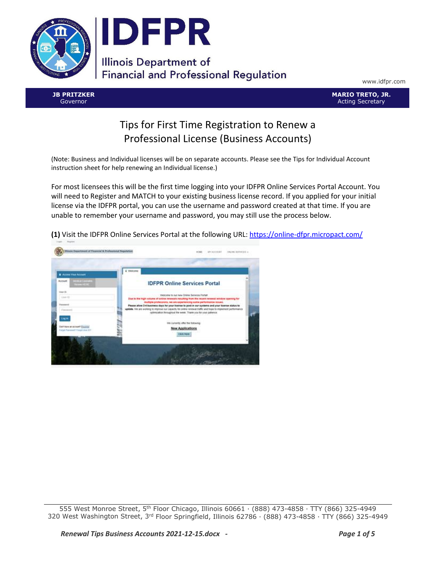

www.idfpr.com

**JB PRITZKER** Governor

**MARIO TRETO, JR.** Acting Secretary

## Tips for First Time Registration to Renew a Professional License (Business Accounts)

(Note: Business and Individual licenses will be on separate accounts. Please see the Tips for Individual Account instruction sheet for help renewing an Individual license.)

For most licensees this will be the first time logging into your IDFPR Online Services Portal Account. You will need to Register and MATCH to your existing business license record. If you applied for your initial license via the IDFPR portal, you can use the username and password created at that time. If you are unable to remember your username and password, you may still use the process below.

**(1)** Visit the IDFPR Online Services Portal at the following URL[: https://online-dfpr.micropact.com/](https://online-dfpr.micropact.com/)



555 West Monroe Street, 5th Floor Chicago, Illinois 60661 ∙ (888) 473-4858 ∙ TTY (866) 325-4949 320 West Washington Street, 3rd Floor Springfield, Illinois 62786 ∙ (888) 473-4858 ∙ TTY (866) 325-4949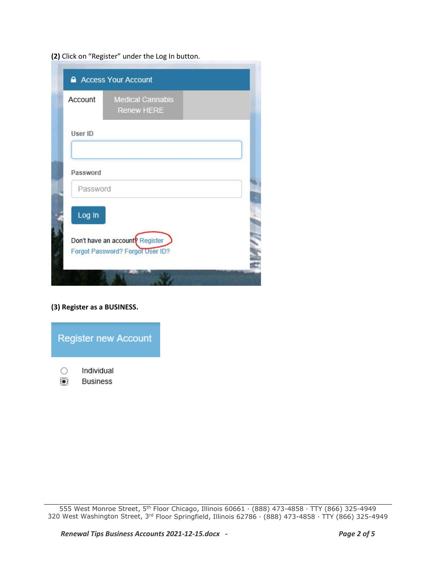**(2)** Click on "Register" under the Log In button.

| Account  | <b>Medical Cannabis</b><br><b>Renew HERE</b>                                    |  |
|----------|---------------------------------------------------------------------------------|--|
| User ID  |                                                                                 |  |
| Password |                                                                                 |  |
| Password |                                                                                 |  |
| Log In   |                                                                                 |  |
|          | Don't have an account <sup>p</sup> Register<br>Forgot Password? Forgot User ID? |  |

**(3) Register as a BUSINESS.**



555 West Monroe Street, 5th Floor Chicago, Illinois 60661 ∙ (888) 473-4858 ∙ TTY (866) 325-4949 320 West Washington Street, 3rd Floor Springfield, Illinois 62786 ∙ (888) 473-4858 ∙ TTY (866) 325-4949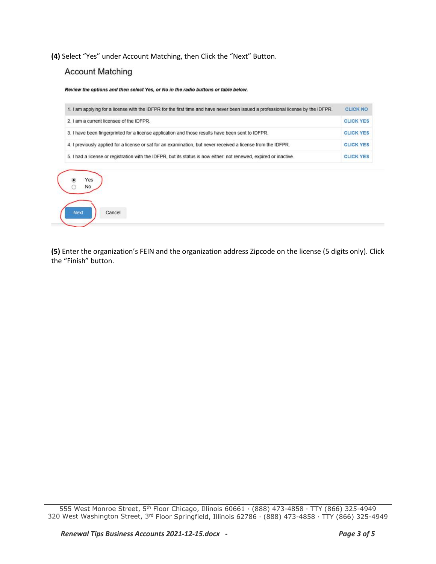**(4)** Select "Yes" under Account Matching, then Click the "Next" Button.

## **Account Matching**

Cancel

**Next** 

Review the options and then select Yes, or No in the radio buttons or table below.

| 1. I am applying for a license with the IDFPR for the first time and have never been issued a professional license by the IDFPR. | <b>CLICK NO</b>  |
|----------------------------------------------------------------------------------------------------------------------------------|------------------|
| 2. I am a current licensee of the IDFPR.                                                                                         | <b>CLICK YES</b> |
| 3. I have been fingerprinted for a license application and those results have been sent to IDFPR.                                | <b>CLICK YES</b> |
| 4. I previously applied for a license or sat for an examination, but never received a license from the IDFPR.                    | <b>CLICK YES</b> |
| 5. I had a license or registration with the IDFPR, but its status is now either: not renewed, expired or inactive.               | <b>CLICK YES</b> |

**(5)** Enter the organization's FEIN and the organization address Zipcode on the license (5 digits only). Click the "Finish" button.

<sup>555</sup> West Monroe Street, 5th Floor Chicago, Illinois 60661 ∙ (888) 473-4858 ∙ TTY (866) 325-4949 320 West Washington Street, 3rd Floor Springfield, Illinois 62786 ∙ (888) 473-4858 ∙ TTY (866) 325-4949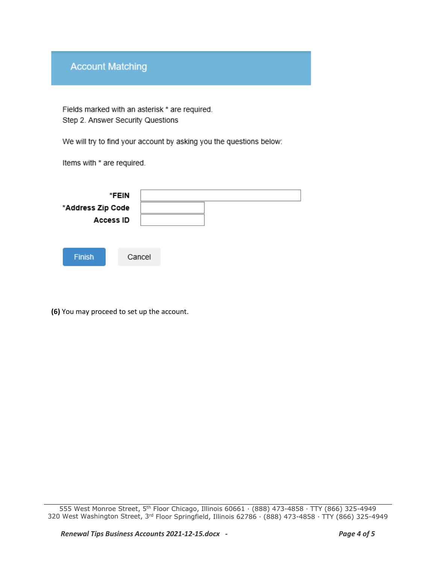## **Account Matching**

Fields marked with an asterisk \* are required. Step 2. Answer Security Questions

We will try to find your account by asking you the questions below:

Items with \* are required.

|                   | *FEIN     |  |  |  |
|-------------------|-----------|--|--|--|
| *Address Zip Code | Access ID |  |  |  |
|                   |           |  |  |  |
|                   |           |  |  |  |
| <b>Finish</b>     | Cancel    |  |  |  |
|                   |           |  |  |  |

**(6)** You may proceed to set up the account.

<sup>555</sup> West Monroe Street, 5th Floor Chicago, Illinois 60661 ∙ (888) 473-4858 ∙ TTY (866) 325-4949 320 West Washington Street, 3rd Floor Springfield, Illinois 62786 ∙ (888) 473-4858 ∙ TTY (866) 325-4949